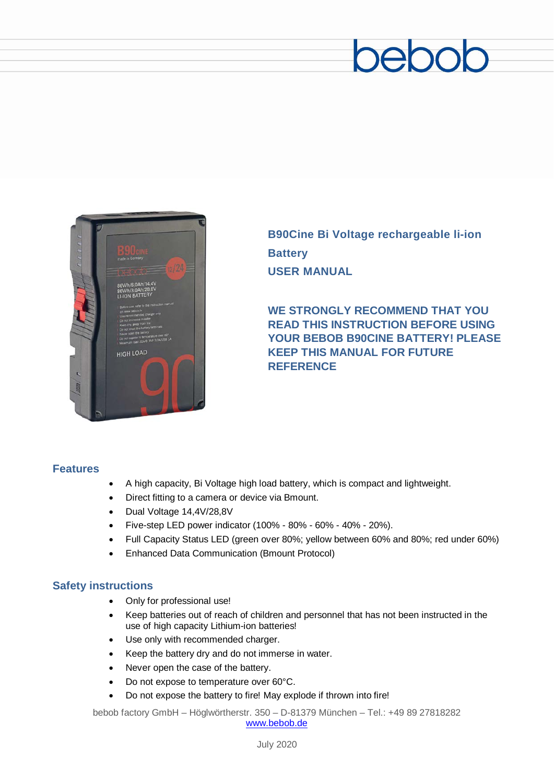# beboc



**B90Cine Bi Voltage rechargeable li-ion Battery USER MANUAL**

**WE STRONGLY RECOMMEND THAT YOU READ THIS INSTRUCTION BEFORE USING YOUR BEBOB B90CINE BATTERY! PLEASE KEEP THIS MANUAL FOR FUTURE REFERENCE**

#### **Features**

- A high capacity, Bi Voltage high load battery, which is compact and lightweight.
- Direct fitting to a camera or device via Bmount.
- Dual Voltage 14,4V/28,8V
- Five-step LED power indicator (100% 80% 60% 40% 20%).
- Full Capacity Status LED (green over 80%; yellow between 60% and 80%; red under 60%)
- Enhanced Data Communication (Bmount Protocol)

#### **Safety instructions**

- Only for professional use!
- Keep batteries out of reach of children and personnel that has not been instructed in the use of high capacity Lithium-ion batteries!
- Use only with recommended charger.
- Keep the battery dry and do not immerse in water.
- Never open the case of the battery.
- Do not expose to temperature over 60°C.
- Do not expose the battery to fire! May explode if thrown into fire!

bebob factory GmbH – Höglwörtherstr. 350 – D-81379 München – Tel.: +49 89 27818282 [www.bebob.de](http://www.bebob.de/)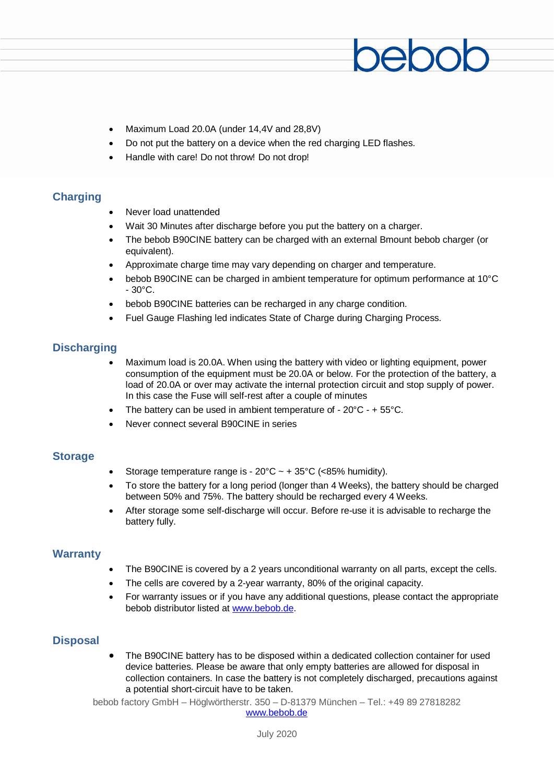- Maximum Load 20.0A (under 14,4V and 28,8V)
- Do not put the battery on a device when the red charging LED flashes.
- Handle with care! Do not throw! Do not drop!

#### **Charging**

- Never load unattended
- Wait 30 Minutes after discharge before you put the battery on a charger.
- The bebob B90CINE battery can be charged with an external Bmount bebob charger (or equivalent).
- Approximate charge time may vary depending on charger and temperature.
- bebob B90CINE can be charged in ambient temperature for optimum performance at 10°C  $-30^{\circ}$ C.
- bebob B90CINE batteries can be recharged in any charge condition.
- Fuel Gauge Flashing led indicates State of Charge during Charging Process.

#### **Discharging**

- Maximum load is 20.0A. When using the battery with video or lighting equipment, power consumption of the equipment must be 20.0A or below. For the protection of the battery, a load of 20.0A or over may activate the internal protection circuit and stop supply of power. In this case the Fuse will self-rest after a couple of minutes
- The battery can be used in ambient temperature of  $-20^{\circ}$ C  $-$  + 55 $^{\circ}$ C.
- Never connect several B90CINE in series

#### **Storage**

- Storage temperature range is  $20^{\circ}$ C ~ +  $35^{\circ}$ C (<85% humidity).
- To store the battery for a long period (longer than 4 Weeks), the battery should be charged between 50% and 75%. The battery should be recharged every 4 Weeks.
- After storage some self-discharge will occur. Before re-use it is advisable to recharge the battery fully.

#### **Warranty**

- The B90CINE is covered by a 2 years unconditional warranty on all parts, except the cells.
- The cells are covered by a 2-year warranty, 80% of the original capacity.
- For warranty issues or if you have any additional questions, please contact the appropriate bebob distributor listed at [www.bebob.de.](http://www.bebob.de/)

#### **Disposal**

• The B90CINE battery has to be disposed within a dedicated collection container for used device batteries. Please be aware that only empty batteries are allowed for disposal in collection containers. In case the battery is not completely discharged, precautions against a potential short-circuit have to be taken.

bebob factory GmbH – Höglwörtherstr. 350 – D-81379 München – Tel.: +49 89 27818282 [www.bebob.de](http://www.bebob.de/)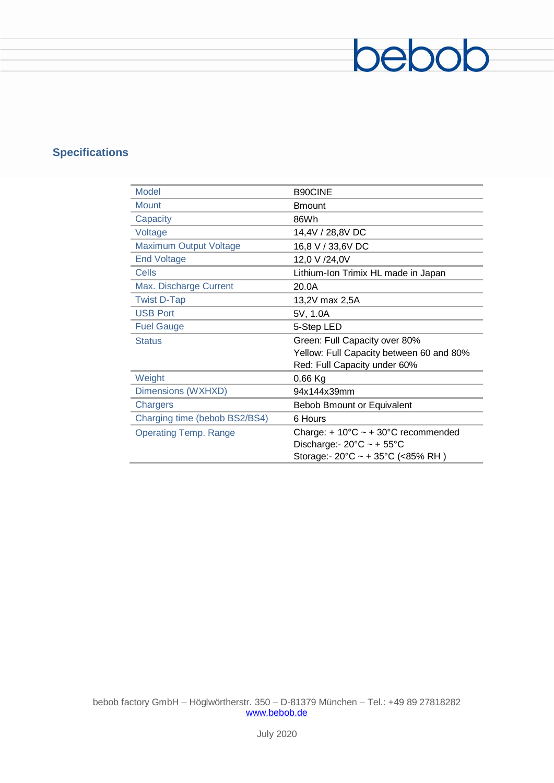# **Specifications**

| Model                         | <b>B90CINE</b>                                          |
|-------------------------------|---------------------------------------------------------|
| <b>Mount</b>                  | <b>Bmount</b>                                           |
| Capacity                      | 86Wh                                                    |
| Voltage                       | 14,4V / 28,8V DC                                        |
| <b>Maximum Output Voltage</b> | 16,8 V / 33,6V DC                                       |
| <b>End Voltage</b>            | 12,0 V /24,0V                                           |
| Cells                         | Lithium-Ion Trimix HL made in Japan                     |
| Max. Discharge Current        | 20.0A                                                   |
| <b>Twist D-Tap</b>            | 13,2V max 2,5A                                          |
| <b>USB Port</b>               | 5V, 1.0A                                                |
| <b>Fuel Gauge</b>             | 5-Step LED                                              |
| <b>Status</b>                 | Green: Full Capacity over 80%                           |
|                               | Yellow: Full Capacity between 60 and 80%                |
|                               | Red: Full Capacity under 60%                            |
| Weight                        | $0,66$ Kg                                               |
| Dimensions (WXHXD)            | 94x144x39mm                                             |
| Chargers                      | Bebob Bmount or Equivalent                              |
| Charging time (bebob BS2/BS4) | 6 Hours                                                 |
| <b>Operating Temp. Range</b>  | Charge: + $10^{\circ}$ C ~ + $30^{\circ}$ C recommended |
|                               | Discharge: - $20^{\circ}$ C ~ + $55^{\circ}$ C          |
|                               | Storage:- $20^{\circ}$ C ~ + 35 $^{\circ}$ C (<85% RH)  |

bebob

bebob factory GmbH – Höglwörtherstr. 350 – D-81379 München – Tel.: +49 89 27818282 [www.bebob.de](http://www.bebob.de/)